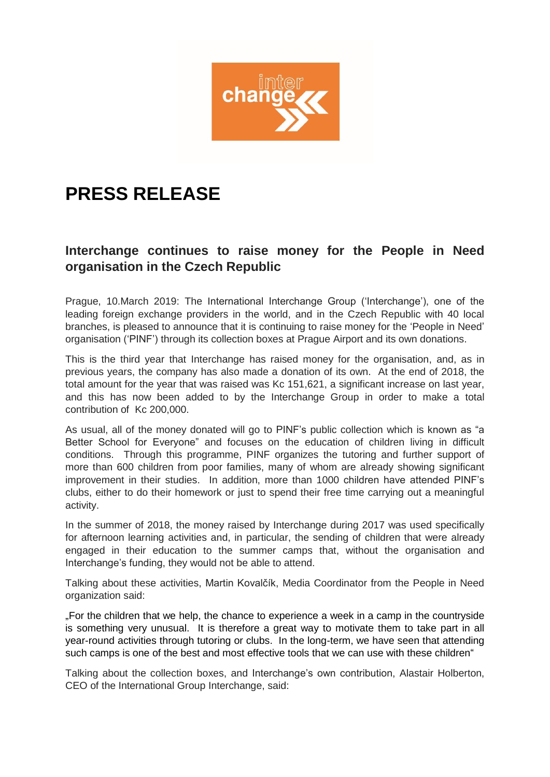

## **PRESS RELEASE**

## **Interchange continues to raise money for the People in Need organisation in the Czech Republic**

Prague, 10.March 2019: The International Interchange Group ('Interchange'), one of the leading foreign exchange providers in the world, and in the Czech Republic with 40 local branches, is pleased to announce that it is continuing to raise money for the 'People in Need' organisation ('PINF') through its collection boxes at Prague Airport and its own donations.

This is the third year that Interchange has raised money for the organisation, and, as in previous years, the company has also made a donation of its own. At the end of 2018, the total amount for the year that was raised was Kc 151,621, a significant increase on last year, and this has now been added to by the Interchange Group in order to make a total contribution of Kc 200,000.

As usual, all of the money donated will go to PINF's public collection which is known as "a Better School for Everyone" and focuses on the education of children living in difficult conditions. Through this programme, PINF organizes the tutoring and further support of more than 600 children from poor families, many of whom are already showing significant improvement in their studies. In addition, more than 1000 children have attended PINF's clubs, either to do their homework or just to spend their free time carrying out a meaningful activity.

In the summer of 2018, the money raised by Interchange during 2017 was used specifically for afternoon learning activities and, in particular, the sending of children that were already engaged in their education to the summer camps that, without the organisation and Interchange's funding, they would not be able to attend.

Talking about these activities, Martin Kovalčík, Media Coordinator from the People in Need organization said:

"For the children that we help, the chance to experience a week in a camp in the countryside is something very unusual. It is therefore a great way to motivate them to take part in all year-round activities through tutoring or clubs. In the long-term, we have seen that attending such camps is one of the best and most effective tools that we can use with these children"

Talking about the collection boxes, and Interchange's own contribution, Alastair Holberton, CEO of the International Group Interchange, said: